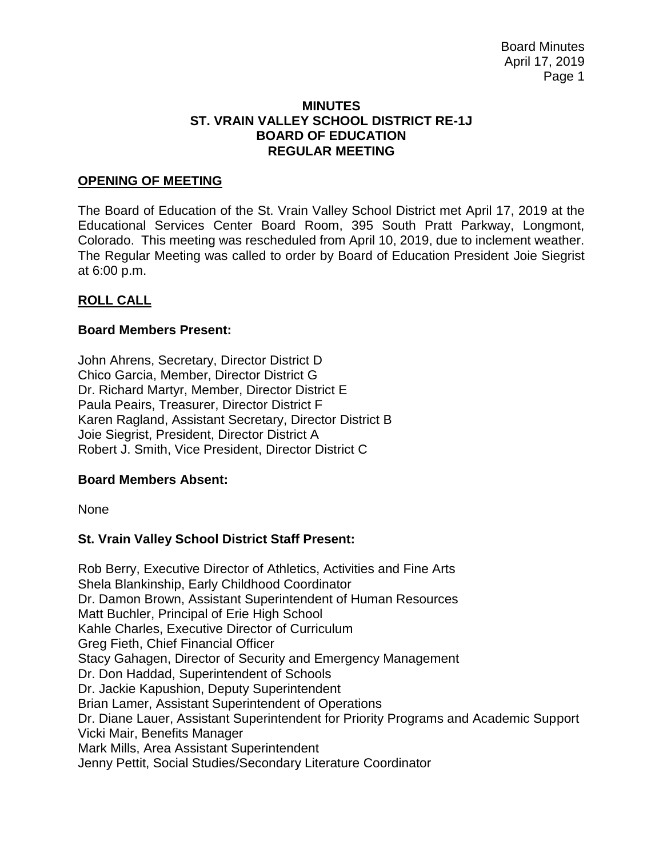#### **MINUTES ST. VRAIN VALLEY SCHOOL DISTRICT RE-1J BOARD OF EDUCATION REGULAR MEETING**

## **OPENING OF MEETING**

The Board of Education of the St. Vrain Valley School District met April 17, 2019 at the Educational Services Center Board Room, 395 South Pratt Parkway, Longmont, Colorado. This meeting was rescheduled from April 10, 2019, due to inclement weather. The Regular Meeting was called to order by Board of Education President Joie Siegrist at 6:00 p.m.

## **ROLL CALL**

## **Board Members Present:**

John Ahrens, Secretary, Director District D Chico Garcia, Member, Director District G Dr. Richard Martyr, Member, Director District E Paula Peairs, Treasurer, Director District F Karen Ragland, Assistant Secretary, Director District B Joie Siegrist, President, Director District A Robert J. Smith, Vice President, Director District C

## **Board Members Absent:**

None

## **St. Vrain Valley School District Staff Present:**

Rob Berry, Executive Director of Athletics, Activities and Fine Arts Shela Blankinship, Early Childhood Coordinator Dr. Damon Brown, Assistant Superintendent of Human Resources Matt Buchler, Principal of Erie High School Kahle Charles, Executive Director of Curriculum Greg Fieth, Chief Financial Officer Stacy Gahagen, Director of Security and Emergency Management Dr. Don Haddad, Superintendent of Schools Dr. Jackie Kapushion, Deputy Superintendent Brian Lamer, Assistant Superintendent of Operations Dr. Diane Lauer, Assistant Superintendent for Priority Programs and Academic Support Vicki Mair, Benefits Manager Mark Mills, Area Assistant Superintendent Jenny Pettit, Social Studies/Secondary Literature Coordinator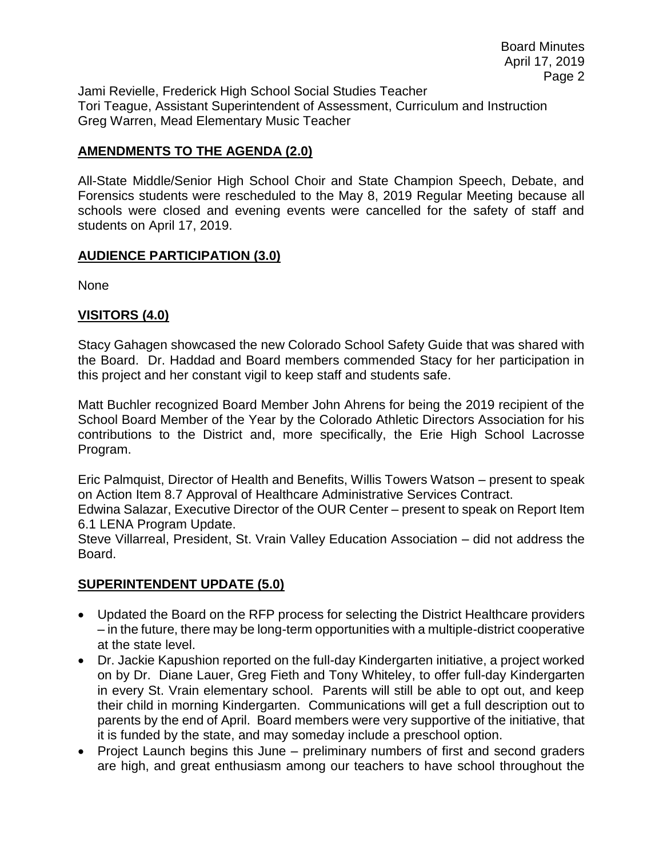Jami Revielle, Frederick High School Social Studies Teacher Tori Teague, Assistant Superintendent of Assessment, Curriculum and Instruction Greg Warren, Mead Elementary Music Teacher

# **AMENDMENTS TO THE AGENDA (2.0)**

All-State Middle/Senior High School Choir and State Champion Speech, Debate, and Forensics students were rescheduled to the May 8, 2019 Regular Meeting because all schools were closed and evening events were cancelled for the safety of staff and students on April 17, 2019.

# **AUDIENCE PARTICIPATION (3.0)**

None

# **VISITORS (4.0)**

Stacy Gahagen showcased the new Colorado School Safety Guide that was shared with the Board. Dr. Haddad and Board members commended Stacy for her participation in this project and her constant vigil to keep staff and students safe.

Matt Buchler recognized Board Member John Ahrens for being the 2019 recipient of the School Board Member of the Year by the Colorado Athletic Directors Association for his contributions to the District and, more specifically, the Erie High School Lacrosse Program.

Eric Palmquist, Director of Health and Benefits, Willis Towers Watson – present to speak on Action Item 8.7 Approval of Healthcare Administrative Services Contract.

Edwina Salazar, Executive Director of the OUR Center – present to speak on Report Item 6.1 LENA Program Update.

Steve Villarreal, President, St. Vrain Valley Education Association – did not address the Board.

# **SUPERINTENDENT UPDATE (5.0)**

- Updated the Board on the RFP process for selecting the District Healthcare providers – in the future, there may be long-term opportunities with a multiple-district cooperative at the state level.
- Dr. Jackie Kapushion reported on the full-day Kindergarten initiative, a project worked on by Dr. Diane Lauer, Greg Fieth and Tony Whiteley, to offer full-day Kindergarten in every St. Vrain elementary school. Parents will still be able to opt out, and keep their child in morning Kindergarten. Communications will get a full description out to parents by the end of April. Board members were very supportive of the initiative, that it is funded by the state, and may someday include a preschool option.
- Project Launch begins this June preliminary numbers of first and second graders are high, and great enthusiasm among our teachers to have school throughout the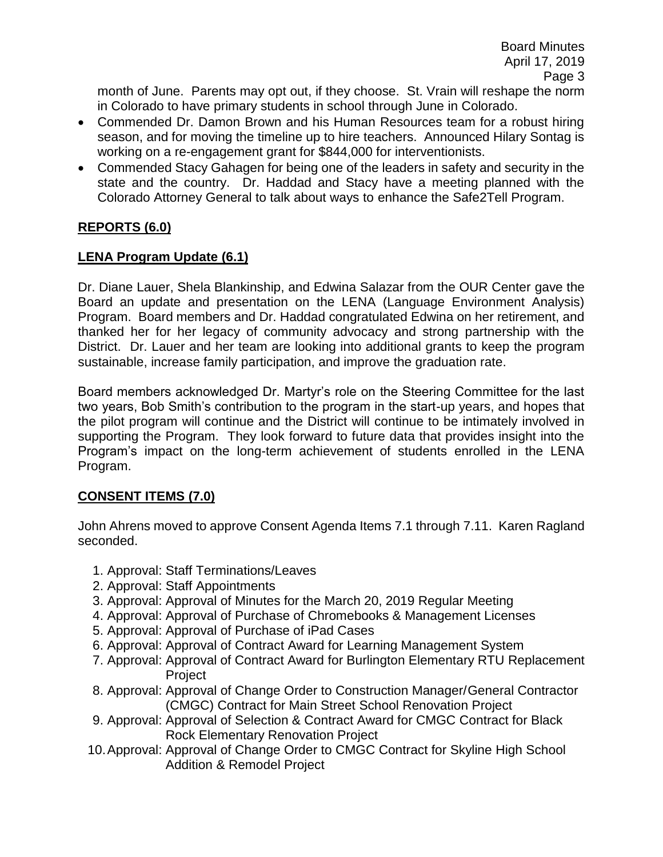month of June. Parents may opt out, if they choose. St. Vrain will reshape the norm in Colorado to have primary students in school through June in Colorado.

- Commended Dr. Damon Brown and his Human Resources team for a robust hiring season, and for moving the timeline up to hire teachers. Announced Hilary Sontag is working on a re-engagement grant for \$844,000 for interventionists.
- Commended Stacy Gahagen for being one of the leaders in safety and security in the state and the country. Dr. Haddad and Stacy have a meeting planned with the Colorado Attorney General to talk about ways to enhance the Safe2Tell Program.

# **REPORTS (6.0)**

# **LENA Program Update (6.1)**

Dr. Diane Lauer, Shela Blankinship, and Edwina Salazar from the OUR Center gave the Board an update and presentation on the LENA (Language Environment Analysis) Program. Board members and Dr. Haddad congratulated Edwina on her retirement, and thanked her for her legacy of community advocacy and strong partnership with the District. Dr. Lauer and her team are looking into additional grants to keep the program sustainable, increase family participation, and improve the graduation rate.

Board members acknowledged Dr. Martyr's role on the Steering Committee for the last two years, Bob Smith's contribution to the program in the start-up years, and hopes that the pilot program will continue and the District will continue to be intimately involved in supporting the Program. They look forward to future data that provides insight into the Program's impact on the long-term achievement of students enrolled in the LENA Program.

# **CONSENT ITEMS (7.0)**

John Ahrens moved to approve Consent Agenda Items 7.1 through 7.11. Karen Ragland seconded.

- 1. Approval: Staff Terminations/Leaves
- 2. Approval: Staff Appointments
- 3. Approval: Approval of Minutes for the March 20, 2019 Regular Meeting
- 4. Approval: Approval of Purchase of Chromebooks & Management Licenses
- 5. Approval: Approval of Purchase of iPad Cases
- 6. Approval: Approval of Contract Award for Learning Management System
- 7. Approval: Approval of Contract Award for Burlington Elementary RTU Replacement Project
- 8. Approval: Approval of Change Order to Construction Manager/General Contractor (CMGC) Contract for Main Street School Renovation Project
- 9. Approval: Approval of Selection & Contract Award for CMGC Contract for Black Rock Elementary Renovation Project
- 10.Approval: Approval of Change Order to CMGC Contract for Skyline High School Addition & Remodel Project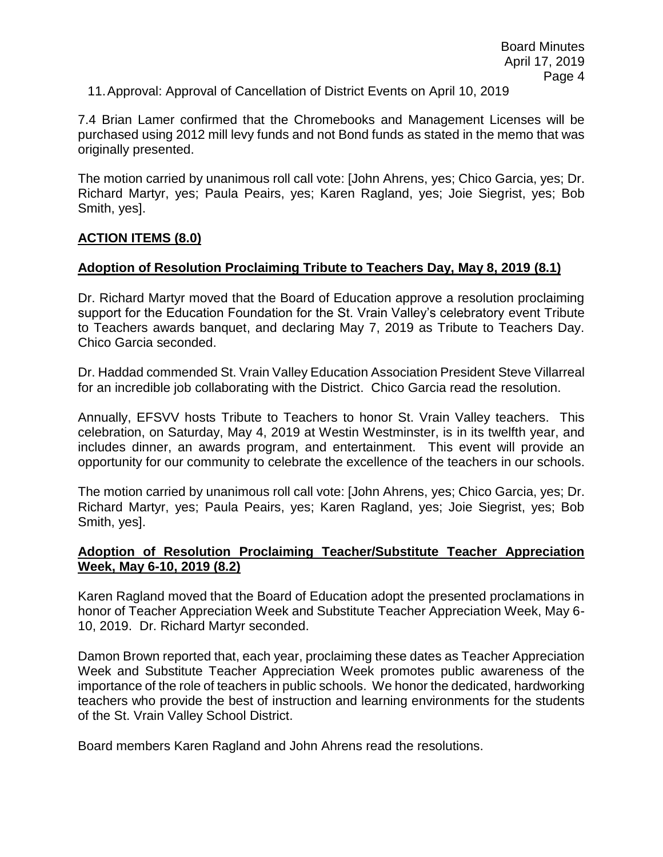11.Approval: Approval of Cancellation of District Events on April 10, 2019

7.4 Brian Lamer confirmed that the Chromebooks and Management Licenses will be purchased using 2012 mill levy funds and not Bond funds as stated in the memo that was originally presented.

The motion carried by unanimous roll call vote: [John Ahrens, yes; Chico Garcia, yes; Dr. Richard Martyr, yes; Paula Peairs, yes; Karen Ragland, yes; Joie Siegrist, yes; Bob Smith, yes].

## **ACTION ITEMS (8.0)**

#### **Adoption of Resolution Proclaiming Tribute to Teachers Day, May 8, 2019 (8.1)**

Dr. Richard Martyr moved that the Board of Education approve a resolution proclaiming support for the Education Foundation for the St. Vrain Valley's celebratory event Tribute to Teachers awards banquet, and declaring May 7, 2019 as Tribute to Teachers Day. Chico Garcia seconded.

Dr. Haddad commended St. Vrain Valley Education Association President Steve Villarreal for an incredible job collaborating with the District. Chico Garcia read the resolution.

Annually, EFSVV hosts Tribute to Teachers to honor St. Vrain Valley teachers. This celebration, on Saturday, May 4, 2019 at Westin Westminster, is in its twelfth year, and includes dinner, an awards program, and entertainment. This event will provide an opportunity for our community to celebrate the excellence of the teachers in our schools.

The motion carried by unanimous roll call vote: [John Ahrens, yes; Chico Garcia, yes; Dr. Richard Martyr, yes; Paula Peairs, yes; Karen Ragland, yes; Joie Siegrist, yes; Bob Smith, yes].

#### **Adoption of Resolution Proclaiming Teacher/Substitute Teacher Appreciation Week, May 6-10, 2019 (8.2)**

Karen Ragland moved that the Board of Education adopt the presented proclamations in honor of Teacher Appreciation Week and Substitute Teacher Appreciation Week, May 6- 10, 2019. Dr. Richard Martyr seconded.

Damon Brown reported that, each year, proclaiming these dates as Teacher Appreciation Week and Substitute Teacher Appreciation Week promotes public awareness of the importance of the role of teachers in public schools. We honor the dedicated, hardworking teachers who provide the best of instruction and learning environments for the students of the St. Vrain Valley School District.

Board members Karen Ragland and John Ahrens read the resolutions.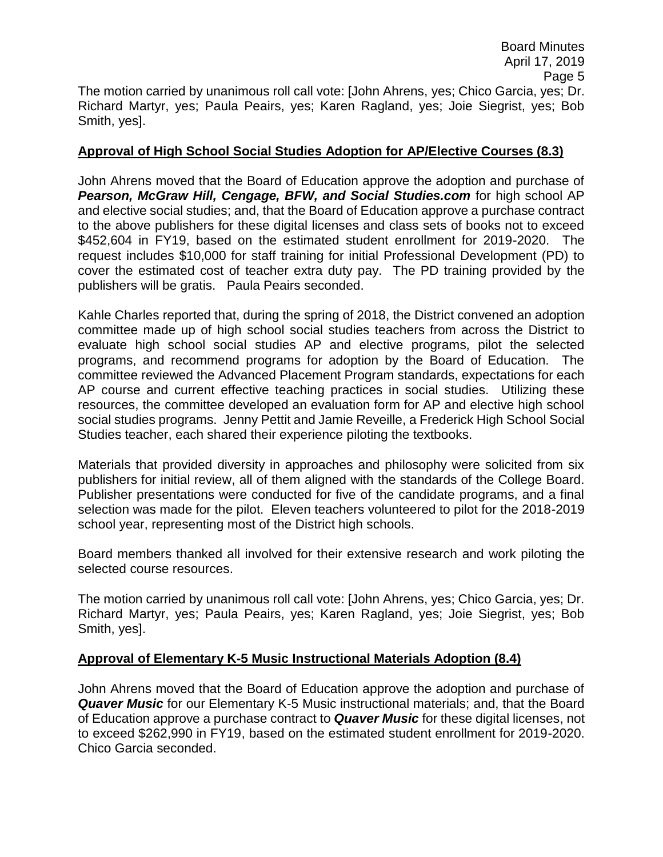## **Approval of High School Social Studies Adoption for AP/Elective Courses (8.3)**

John Ahrens moved that the Board of Education approve the adoption and purchase of **Pearson, McGraw Hill, Cengage, BFW, and Social Studies.com** for high school AP and elective social studies; and, that the Board of Education approve a purchase contract to the above publishers for these digital licenses and class sets of books not to exceed \$452,604 in FY19, based on the estimated student enrollment for 2019-2020. The request includes \$10,000 for staff training for initial Professional Development (PD) to cover the estimated cost of teacher extra duty pay. The PD training provided by the publishers will be gratis. Paula Peairs seconded.

Kahle Charles reported that, during the spring of 2018, the District convened an adoption committee made up of high school social studies teachers from across the District to evaluate high school social studies AP and elective programs, pilot the selected programs, and recommend programs for adoption by the Board of Education. The committee reviewed the Advanced Placement Program standards, expectations for each AP course and current effective teaching practices in social studies. Utilizing these resources, the committee developed an evaluation form for AP and elective high school social studies programs. Jenny Pettit and Jamie Reveille, a Frederick High School Social Studies teacher, each shared their experience piloting the textbooks.

Materials that provided diversity in approaches and philosophy were solicited from six publishers for initial review, all of them aligned with the standards of the College Board. Publisher presentations were conducted for five of the candidate programs, and a final selection was made for the pilot. Eleven teachers volunteered to pilot for the 2018-2019 school year, representing most of the District high schools.

Board members thanked all involved for their extensive research and work piloting the selected course resources.

The motion carried by unanimous roll call vote: [John Ahrens, yes; Chico Garcia, yes; Dr. Richard Martyr, yes; Paula Peairs, yes; Karen Ragland, yes; Joie Siegrist, yes; Bob Smith, yes].

# **Approval of Elementary K-5 Music Instructional Materials Adoption (8.4)**

John Ahrens moved that the Board of Education approve the adoption and purchase of *Quaver Music* for our Elementary K-5 Music instructional materials; and, that the Board of Education approve a purchase contract to *Quaver Music* for these digital licenses, not to exceed \$262,990 in FY19, based on the estimated student enrollment for 2019-2020. Chico Garcia seconded.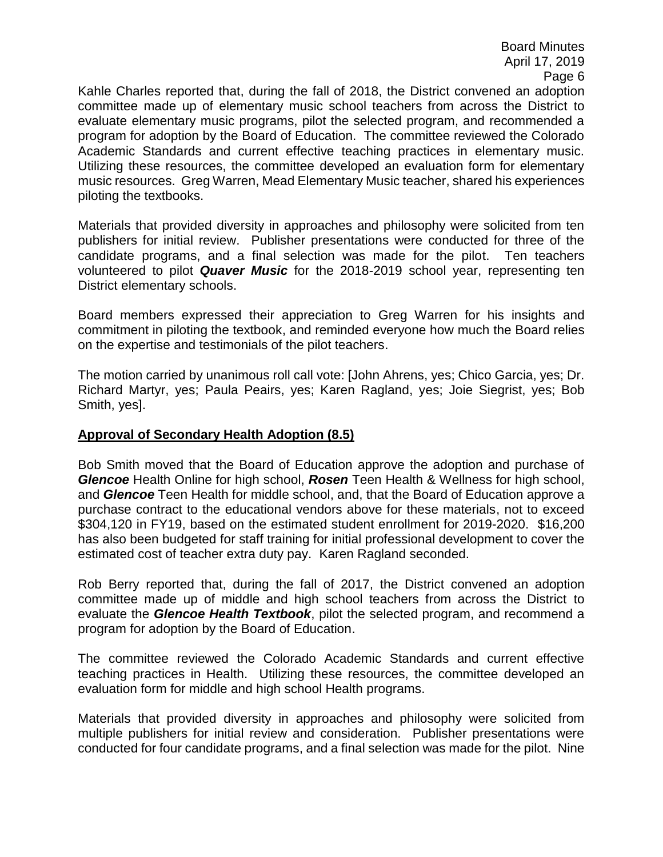Board Minutes April 17, 2019 Page 6

Kahle Charles reported that, during the fall of 2018, the District convened an adoption committee made up of elementary music school teachers from across the District to evaluate elementary music programs, pilot the selected program, and recommended a program for adoption by the Board of Education. The committee reviewed the Colorado Academic Standards and current effective teaching practices in elementary music. Utilizing these resources, the committee developed an evaluation form for elementary music resources. Greg Warren, Mead Elementary Music teacher, shared his experiences piloting the textbooks.

Materials that provided diversity in approaches and philosophy were solicited from ten publishers for initial review. Publisher presentations were conducted for three of the candidate programs, and a final selection was made for the pilot. Ten teachers volunteered to pilot *Quaver Music* for the 2018-2019 school year, representing ten District elementary schools.

Board members expressed their appreciation to Greg Warren for his insights and commitment in piloting the textbook, and reminded everyone how much the Board relies on the expertise and testimonials of the pilot teachers.

The motion carried by unanimous roll call vote: [John Ahrens, yes; Chico Garcia, yes; Dr. Richard Martyr, yes; Paula Peairs, yes; Karen Ragland, yes; Joie Siegrist, yes; Bob Smith, yes].

## **Approval of Secondary Health Adoption (8.5)**

Bob Smith moved that the Board of Education approve the adoption and purchase of *Glencoe* Health Online for high school, *Rosen* Teen Health & Wellness for high school, and *Glencoe* Teen Health for middle school, and, that the Board of Education approve a purchase contract to the educational vendors above for these materials, not to exceed \$304,120 in FY19, based on the estimated student enrollment for 2019-2020. \$16,200 has also been budgeted for staff training for initial professional development to cover the estimated cost of teacher extra duty pay. Karen Ragland seconded.

Rob Berry reported that, during the fall of 2017, the District convened an adoption committee made up of middle and high school teachers from across the District to evaluate the *Glencoe Health Textbook*, pilot the selected program, and recommend a program for adoption by the Board of Education.

The committee reviewed the Colorado Academic Standards and current effective teaching practices in Health. Utilizing these resources, the committee developed an evaluation form for middle and high school Health programs.

Materials that provided diversity in approaches and philosophy were solicited from multiple publishers for initial review and consideration. Publisher presentations were conducted for four candidate programs, and a final selection was made for the pilot. Nine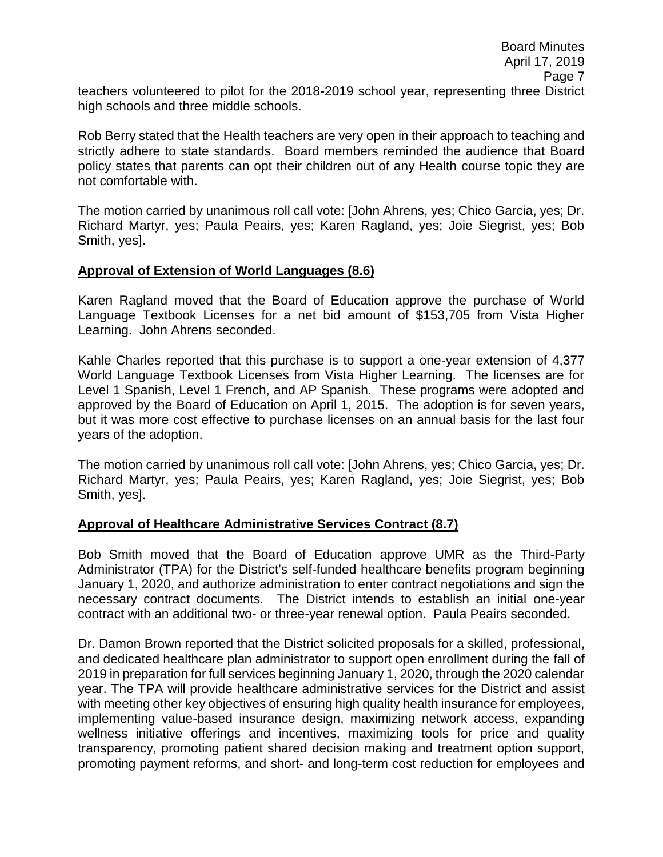teachers volunteered to pilot for the 2018-2019 school year, representing three District high schools and three middle schools.

Rob Berry stated that the Health teachers are very open in their approach to teaching and strictly adhere to state standards. Board members reminded the audience that Board policy states that parents can opt their children out of any Health course topic they are not comfortable with.

The motion carried by unanimous roll call vote: [John Ahrens, yes; Chico Garcia, yes; Dr. Richard Martyr, yes; Paula Peairs, yes; Karen Ragland, yes; Joie Siegrist, yes; Bob Smith, yes].

## **Approval of Extension of World Languages (8.6)**

Karen Ragland moved that the Board of Education approve the purchase of World Language Textbook Licenses for a net bid amount of \$153,705 from Vista Higher Learning. John Ahrens seconded.

Kahle Charles reported that this purchase is to support a one-year extension of 4,377 World Language Textbook Licenses from Vista Higher Learning. The licenses are for Level 1 Spanish, Level 1 French, and AP Spanish. These programs were adopted and approved by the Board of Education on April 1, 2015. The adoption is for seven years, but it was more cost effective to purchase licenses on an annual basis for the last four years of the adoption.

The motion carried by unanimous roll call vote: [John Ahrens, yes; Chico Garcia, yes; Dr. Richard Martyr, yes; Paula Peairs, yes; Karen Ragland, yes; Joie Siegrist, yes; Bob Smith, yes].

## **Approval of Healthcare Administrative Services Contract (8.7)**

Bob Smith moved that the Board of Education approve UMR as the Third-Party Administrator (TPA) for the District's self-funded healthcare benefits program beginning January 1, 2020, and authorize administration to enter contract negotiations and sign the necessary contract documents. The District intends to establish an initial one-year contract with an additional two- or three-year renewal option. Paula Peairs seconded.

Dr. Damon Brown reported that the District solicited proposals for a skilled, professional, and dedicated healthcare plan administrator to support open enrollment during the fall of 2019 in preparation for full services beginning January 1, 2020, through the 2020 calendar year. The TPA will provide healthcare administrative services for the District and assist with meeting other key objectives of ensuring high quality health insurance for employees, implementing value-based insurance design, maximizing network access, expanding wellness initiative offerings and incentives, maximizing tools for price and quality transparency, promoting patient shared decision making and treatment option support, promoting payment reforms, and short- and long-term cost reduction for employees and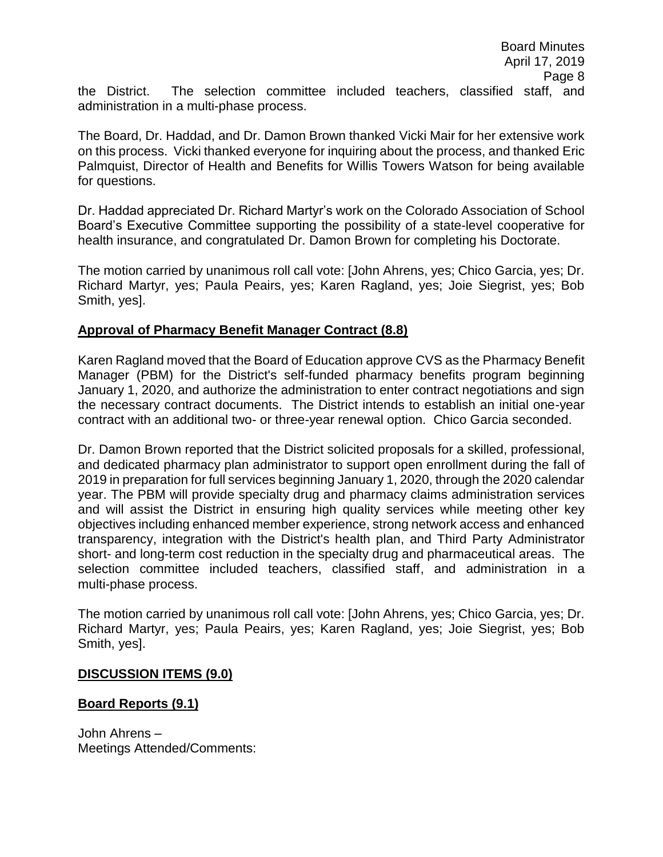The Board, Dr. Haddad, and Dr. Damon Brown thanked Vicki Mair for her extensive work on this process. Vicki thanked everyone for inquiring about the process, and thanked Eric Palmquist, Director of Health and Benefits for Willis Towers Watson for being available for questions.

Dr. Haddad appreciated Dr. Richard Martyr's work on the Colorado Association of School Board's Executive Committee supporting the possibility of a state-level cooperative for health insurance, and congratulated Dr. Damon Brown for completing his Doctorate.

The motion carried by unanimous roll call vote: [John Ahrens, yes; Chico Garcia, yes; Dr. Richard Martyr, yes; Paula Peairs, yes; Karen Ragland, yes; Joie Siegrist, yes; Bob Smith, yes].

# **Approval of Pharmacy Benefit Manager Contract (8.8)**

Karen Ragland moved that the Board of Education approve CVS as the Pharmacy Benefit Manager (PBM) for the District's self-funded pharmacy benefits program beginning January 1, 2020, and authorize the administration to enter contract negotiations and sign the necessary contract documents. The District intends to establish an initial one-year contract with an additional two- or three-year renewal option. Chico Garcia seconded.

Dr. Damon Brown reported that the District solicited proposals for a skilled, professional, and dedicated pharmacy plan administrator to support open enrollment during the fall of 2019 in preparation for full services beginning January 1, 2020, through the 2020 calendar year. The PBM will provide specialty drug and pharmacy claims administration services and will assist the District in ensuring high quality services while meeting other key objectives including enhanced member experience, strong network access and enhanced transparency, integration with the District's health plan, and Third Party Administrator short- and long-term cost reduction in the specialty drug and pharmaceutical areas. The selection committee included teachers, classified staff, and administration in a multi-phase process.

The motion carried by unanimous roll call vote: [John Ahrens, yes; Chico Garcia, yes; Dr. Richard Martyr, yes; Paula Peairs, yes; Karen Ragland, yes; Joie Siegrist, yes; Bob Smith, yes].

## **DISCUSSION ITEMS (9.0)**

## **Board Reports (9.1)**

John Ahrens – Meetings Attended/Comments: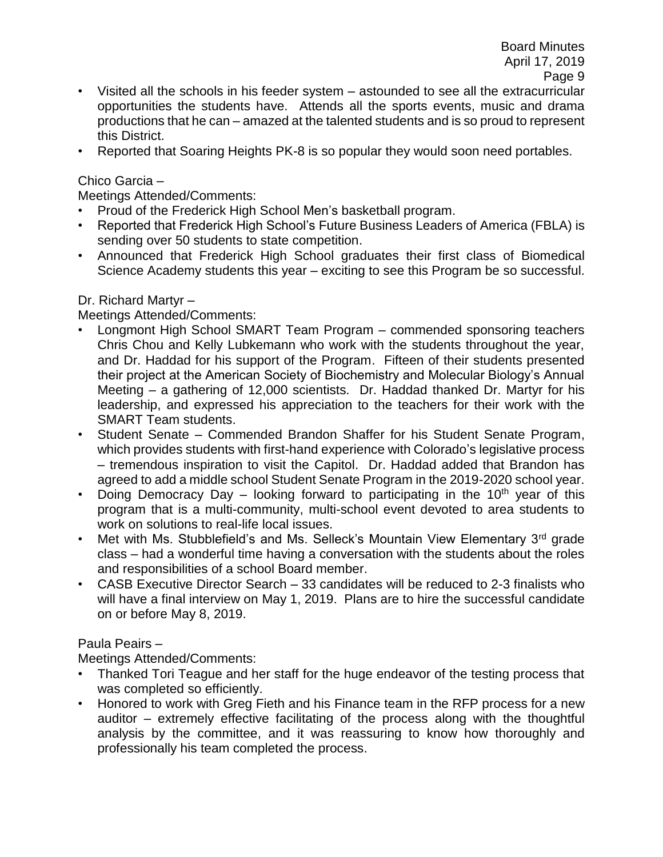- Visited all the schools in his feeder system astounded to see all the extracurricular opportunities the students have. Attends all the sports events, music and drama productions that he can – amazed at the talented students and is so proud to represent this District.
- Reported that Soaring Heights PK-8 is so popular they would soon need portables.

## Chico Garcia –

Meetings Attended/Comments:

- Proud of the Frederick High School Men's basketball program.
- Reported that Frederick High School's Future Business Leaders of America (FBLA) is sending over 50 students to state competition.
- Announced that Frederick High School graduates their first class of Biomedical Science Academy students this year – exciting to see this Program be so successful.

## Dr. Richard Martyr –

Meetings Attended/Comments:

- Longmont High School SMART Team Program commended sponsoring teachers Chris Chou and Kelly Lubkemann who work with the students throughout the year, and Dr. Haddad for his support of the Program. Fifteen of their students presented their project at the American Society of Biochemistry and Molecular Biology's Annual Meeting – a gathering of 12,000 scientists. Dr. Haddad thanked Dr. Martyr for his leadership, and expressed his appreciation to the teachers for their work with the SMART Team students.
- Student Senate Commended Brandon Shaffer for his Student Senate Program, which provides students with first-hand experience with Colorado's legislative process – tremendous inspiration to visit the Capitol. Dr. Haddad added that Brandon has agreed to add a middle school Student Senate Program in the 2019-2020 school year.
- Doing Democracy Day looking forward to participating in the  $10<sup>th</sup>$  year of this program that is a multi-community, multi-school event devoted to area students to work on solutions to real-life local issues.
- Met with Ms. Stubblefield's and Ms. Selleck's Mountain View Elementary 3<sup>rd</sup> grade class – had a wonderful time having a conversation with the students about the roles and responsibilities of a school Board member.
- CASB Executive Director Search 33 candidates will be reduced to 2-3 finalists who will have a final interview on May 1, 2019. Plans are to hire the successful candidate on or before May 8, 2019.

## Paula Peairs –

Meetings Attended/Comments:

- Thanked Tori Teague and her staff for the huge endeavor of the testing process that was completed so efficiently.
- Honored to work with Greg Fieth and his Finance team in the RFP process for a new auditor – extremely effective facilitating of the process along with the thoughtful analysis by the committee, and it was reassuring to know how thoroughly and professionally his team completed the process.